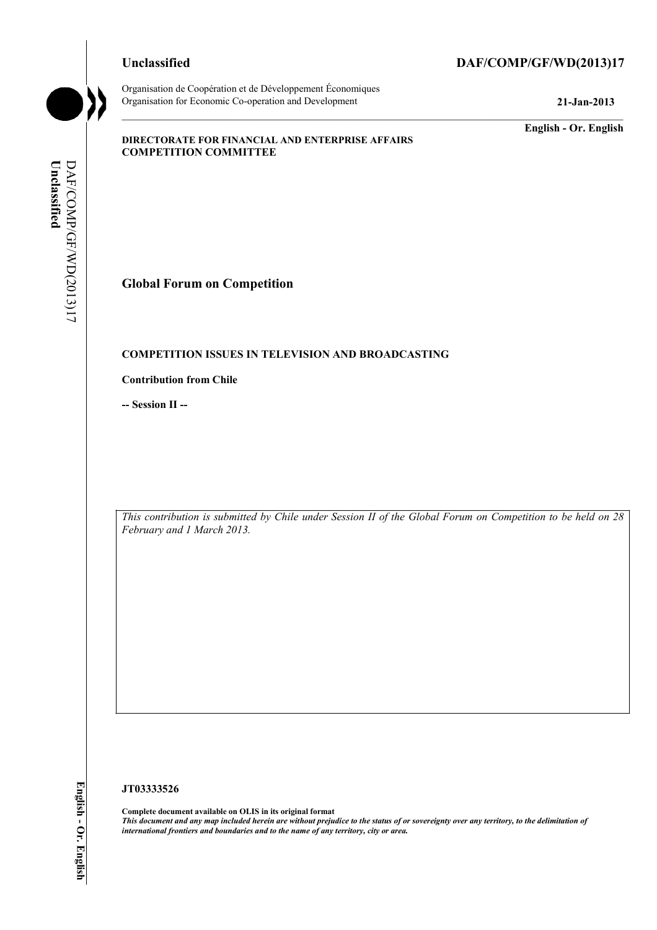Organisation de Coopération et de Développement Économiques Organisation for Economic Co-operation and Development **21-Jan-2013** 

#### **Unclassified DAF/COMP/GF/WD(2013)17**

**English - Or. English** 

#### **DIRECTORATE FOR FINANCIAL AND ENTERPRISE AFFAIRS COMPETITION COMMITTEE**

DAF/COMP/GF/WD(2013)17 Unclassified **Unclassified**  DAF/COMP/GF/WD(2013)17

**Global Forum on Competition** 

#### **COMPETITION ISSUES IN TELEVISION AND BROADCASTING**

**Contribution from Chile** 

**-- Session II --** 

*This contribution is submitted by Chile under Session II of the Global Forum on Competition to be held on 28 February and 1 March 2013.* 

#### **JT03333526**

**Complete document available on OLIS in its original format** *This document and any map included herein are without prejudice to the status of or sovereignty over any territory, to the delimitation of international frontiers and boundaries and to the name of any territory, city or area.*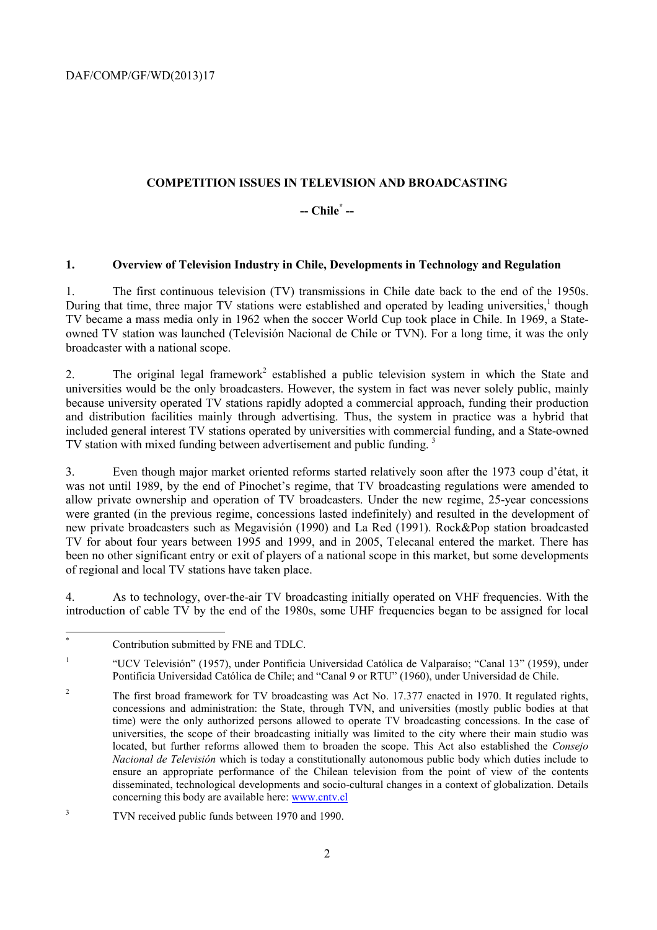### **COMPETITION ISSUES IN TELEVISION AND BROADCASTING**

# **-- Chile\* --**

#### **1. Overview of Television Industry in Chile, Developments in Technology and Regulation**

1. The first continuous television (TV) transmissions in Chile date back to the end of the 1950s. During that time, three major TV stations were established and operated by leading universities, $<sup>1</sup>$  though</sup> TV became a mass media only in 1962 when the soccer World Cup took place in Chile. In 1969, a Stateowned TV station was launched (Televisión Nacional de Chile or TVN). For a long time, it was the only broadcaster with a national scope.

2. The original legal framework<sup>2</sup> established a public television system in which the State and universities would be the only broadcasters. However, the system in fact was never solely public, mainly because university operated TV stations rapidly adopted a commercial approach, funding their production and distribution facilities mainly through advertising. Thus, the system in practice was a hybrid that included general interest TV stations operated by universities with commercial funding, and a State-owned TV station with mixed funding between advertisement and public funding.<sup>3</sup>

3. Even though major market oriented reforms started relatively soon after the 1973 coup d'état, it was not until 1989, by the end of Pinochet's regime, that TV broadcasting regulations were amended to allow private ownership and operation of TV broadcasters. Under the new regime, 25-year concessions were granted (in the previous regime, concessions lasted indefinitely) and resulted in the development of new private broadcasters such as Megavisión (1990) and La Red (1991). Rock&Pop station broadcasted TV for about four years between 1995 and 1999, and in 2005, Telecanal entered the market. There has been no other significant entry or exit of players of a national scope in this market, but some developments of regional and local TV stations have taken place.

4. As to technology, over-the-air TV broadcasting initially operated on VHF frequencies. With the introduction of cable TV by the end of the 1980s, some UHF frequencies began to be assigned for local

 \* Contribution submitted by FNE and TDLC.

<sup>1</sup> "UCV Televisión" (1957), under Pontificia Universidad Católica de Valparaíso; "Canal 13" (1959), under Pontificia Universidad Católica de Chile; and "Canal 9 or RTU" (1960), under Universidad de Chile.

 $\overline{2}$  The first broad framework for TV broadcasting was Act No. 17.377 enacted in 1970. It regulated rights, concessions and administration: the State, through TVN, and universities (mostly public bodies at that time) were the only authorized persons allowed to operate TV broadcasting concessions. In the case of universities, the scope of their broadcasting initially was limited to the city where their main studio was located, but further reforms allowed them to broaden the scope. This Act also established the *Consejo Nacional de Televisión* which is today a constitutionally autonomous public body which duties include to ensure an appropriate performance of the Chilean television from the point of view of the contents disseminated, technological developments and socio-cultural changes in a context of globalization. Details concerning this body are available here: www.cntv.cl

<sup>3</sup> TVN received public funds between 1970 and 1990.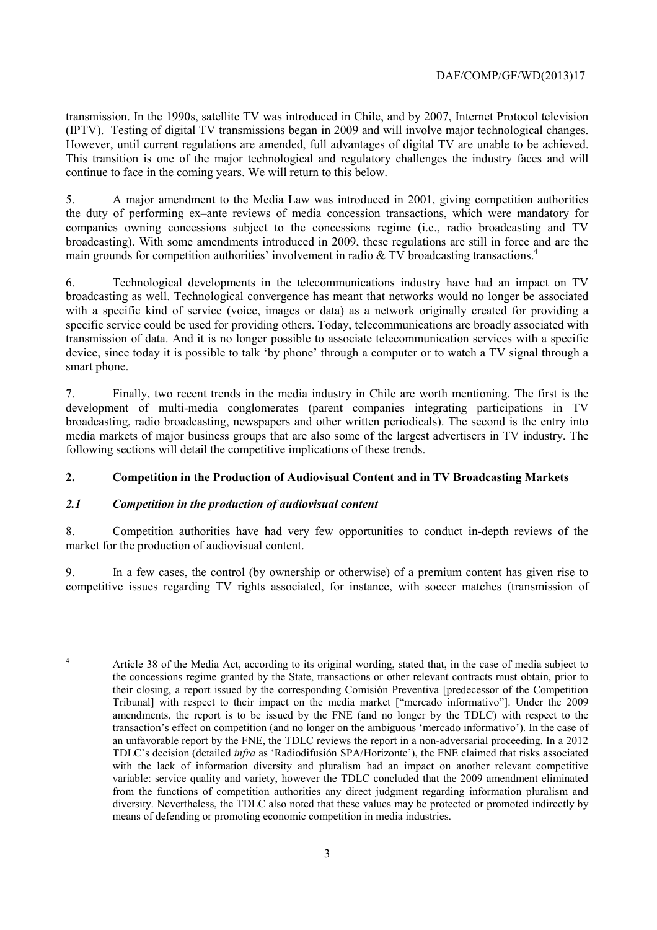transmission. In the 1990s, satellite TV was introduced in Chile, and by 2007, Internet Protocol television (IPTV). Testing of digital TV transmissions began in 2009 and will involve major technological changes. However, until current regulations are amended, full advantages of digital TV are unable to be achieved. This transition is one of the major technological and regulatory challenges the industry faces and will continue to face in the coming years. We will return to this below.

5. A major amendment to the Media Law was introduced in 2001, giving competition authorities the duty of performing ex–ante reviews of media concession transactions, which were mandatory for companies owning concessions subject to the concessions regime (i.e., radio broadcasting and TV broadcasting). With some amendments introduced in 2009, these regulations are still in force and are the main grounds for competition authorities' involvement in radio  $&$  TV broadcasting transactions.<sup>4</sup>

6. Technological developments in the telecommunications industry have had an impact on TV broadcasting as well. Technological convergence has meant that networks would no longer be associated with a specific kind of service (voice, images or data) as a network originally created for providing a specific service could be used for providing others. Today, telecommunications are broadly associated with transmission of data. And it is no longer possible to associate telecommunication services with a specific device, since today it is possible to talk 'by phone' through a computer or to watch a TV signal through a smart phone.

7. Finally, two recent trends in the media industry in Chile are worth mentioning. The first is the development of multi-media conglomerates (parent companies integrating participations in TV broadcasting, radio broadcasting, newspapers and other written periodicals). The second is the entry into media markets of major business groups that are also some of the largest advertisers in TV industry. The following sections will detail the competitive implications of these trends.

# **2. Competition in the Production of Audiovisual Content and in TV Broadcasting Markets**

# *2.1 Competition in the production of audiovisual content*

8. Competition authorities have had very few opportunities to conduct in-depth reviews of the market for the production of audiovisual content.

9. In a few cases, the control (by ownership or otherwise) of a premium content has given rise to competitive issues regarding TV rights associated, for instance, with soccer matches (transmission of

 $\frac{1}{4}$ 

Article 38 of the Media Act, according to its original wording, stated that, in the case of media subject to the concessions regime granted by the State, transactions or other relevant contracts must obtain, prior to their closing, a report issued by the corresponding Comisión Preventiva [predecessor of the Competition Tribunal] with respect to their impact on the media market ["mercado informativo"]. Under the 2009 amendments, the report is to be issued by the FNE (and no longer by the TDLC) with respect to the transaction's effect on competition (and no longer on the ambiguous 'mercado informativo'). In the case of an unfavorable report by the FNE, the TDLC reviews the report in a non-adversarial proceeding. In a 2012 TDLC's decision (detailed *infra* as 'Radiodifusión SPA/Horizonte'), the FNE claimed that risks associated with the lack of information diversity and pluralism had an impact on another relevant competitive variable: service quality and variety, however the TDLC concluded that the 2009 amendment eliminated from the functions of competition authorities any direct judgment regarding information pluralism and diversity. Nevertheless, the TDLC also noted that these values may be protected or promoted indirectly by means of defending or promoting economic competition in media industries.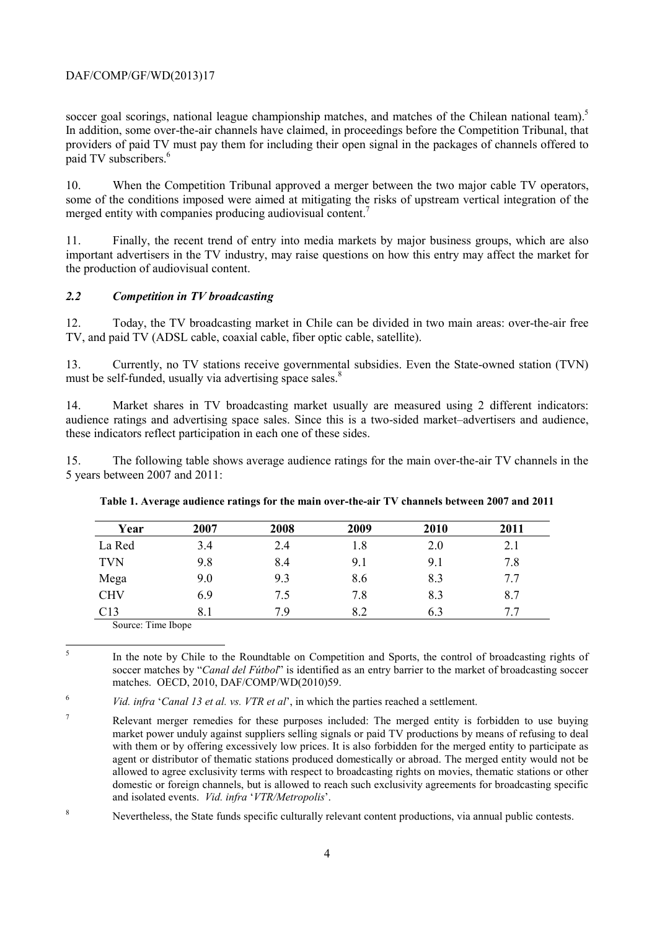soccer goal scorings, national league championship matches, and matches of the Chilean national team).<sup>5</sup> In addition, some over-the-air channels have claimed, in proceedings before the Competition Tribunal, that providers of paid TV must pay them for including their open signal in the packages of channels offered to paid TV subscribers.<sup>6</sup>

10. When the Competition Tribunal approved a merger between the two major cable TV operators, some of the conditions imposed were aimed at mitigating the risks of upstream vertical integration of the merged entity with companies producing audiovisual content.<sup>7</sup>

11. Finally, the recent trend of entry into media markets by major business groups, which are also important advertisers in the TV industry, may raise questions on how this entry may affect the market for the production of audiovisual content.

#### *2.2 Competition in TV broadcasting*

12. Today, the TV broadcasting market in Chile can be divided in two main areas: over-the-air free TV, and paid TV (ADSL cable, coaxial cable, fiber optic cable, satellite).

13. Currently, no TV stations receive governmental subsidies. Even the State-owned station (TVN) must be self-funded, usually via advertising space sales.<sup>8</sup>

14. Market shares in TV broadcasting market usually are measured using 2 different indicators: audience ratings and advertising space sales. Since this is a two-sided market–advertisers and audience, these indicators reflect participation in each one of these sides.

15. The following table shows average audience ratings for the main over-the-air TV channels in the 5 years between 2007 and 2011:

| Year                                                                                                                                                                                                                           | 2007 | 2008 | 2009 | 2010 | 2011 |
|--------------------------------------------------------------------------------------------------------------------------------------------------------------------------------------------------------------------------------|------|------|------|------|------|
| La Red                                                                                                                                                                                                                         | 3.4  | 2.4  | 1.8  | 2.0  | 2.1  |
| <b>TVN</b>                                                                                                                                                                                                                     | 9.8  | 8.4  | 9.1  | 9.1  | 7.8  |
| Mega                                                                                                                                                                                                                           | 9.0  | 9.3  | 8.6  | 8.3  | 7.7  |
| <b>CHV</b>                                                                                                                                                                                                                     | 6.9  | 7.5  | 7.8  | 8.3  | 8.7  |
| C13                                                                                                                                                                                                                            |      | 79   | 8.2  | 6.3  | 77   |
| Construction of the construction of the construction of the construction of the construction of the construction of the construction of the construction of the construction of the construction of the construction of the co |      |      |      |      |      |

#### **Table 1. Average audience ratings for the main over-the-air TV channels between 2007 and 2011**

Source: Time Ibope

 $\frac{1}{5}$  In the note by Chile to the Roundtable on Competition and Sports, the control of broadcasting rights of soccer matches by "*Canal del Fútbol*" is identified as an entry barrier to the market of broadcasting soccer matches. OECD, 2010, DAF/COMP/WD(2010)59.

6 *Vid. infra* '*Canal 13 et al. vs. VTR et al*', in which the parties reached a settlement.

<sup>7</sup> Relevant merger remedies for these purposes included: The merged entity is forbidden to use buying market power unduly against suppliers selling signals or paid TV productions by means of refusing to deal with them or by offering excessively low prices. It is also forbidden for the merged entity to participate as agent or distributor of thematic stations produced domestically or abroad. The merged entity would not be allowed to agree exclusivity terms with respect to broadcasting rights on movies, thematic stations or other domestic or foreign channels, but is allowed to reach such exclusivity agreements for broadcasting specific and isolated events. *Vid. infra* '*VTR/Metropolis*'.

<sup>8</sup> Nevertheless, the State funds specific culturally relevant content productions, via annual public contests.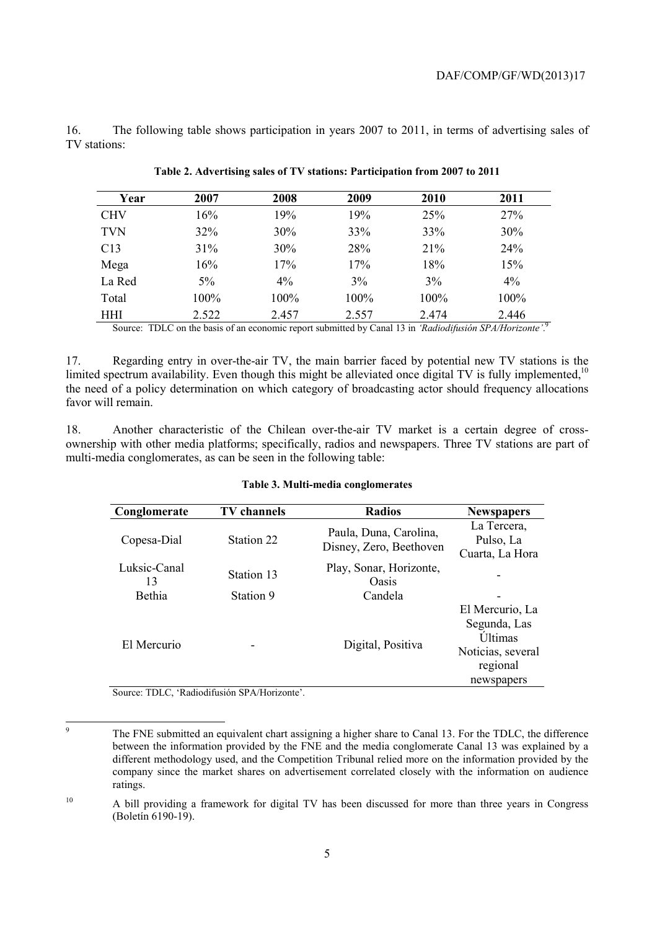16. The following table shows participation in years 2007 to 2011, in terms of advertising sales of TV stations:

| Year       | 2007  | 2008  | 2009  | 2010  | 2011  |
|------------|-------|-------|-------|-------|-------|
| <b>CHV</b> | 16%   | 19%   | 19%   | 25%   | 27%   |
| TVN        | 32%   | 30%   | 33%   | 33%   | 30%   |
| C13        | 31%   | 30%   | 28%   | 21%   | 24%   |
| Mega       | 16%   | 17%   | 17%   | 18%   | 15%   |
| La Red     | $5\%$ | 4%    | 3%    | 3%    | 4%    |
| Total      | 100%  | 100%  | 100%  | 100%  | 100%  |
| HHI        | 2.522 | 2.457 | 2.557 | 2.474 | 2.446 |

**Table 2. Advertising sales of TV stations: Participation from 2007 to 2011** 

Source: TDLC on the basis of an economic report submitted by Canal 13 in *'Radiodifusión SPA/Horizonte'*.<sup>9</sup>

17. Regarding entry in over-the-air TV, the main barrier faced by potential new TV stations is the limited spectrum availability. Even though this might be alleviated once digital TV is fully implemented, $10$ the need of a policy determination on which category of broadcasting actor should frequency allocations favor will remain.

18. Another characteristic of the Chilean over-the-air TV market is a certain degree of crossownership with other media platforms; specifically, radios and newspapers. Three TV stations are part of multi-media conglomerates, as can be seen in the following table:

#### **Table 3. Multi-media conglomerates**

| Conglomerate       | <b>TV</b> channels | <b>Radios</b>                                     | <b>Newspapers</b>                                                                                |
|--------------------|--------------------|---------------------------------------------------|--------------------------------------------------------------------------------------------------|
| Copesa-Dial        | Station 22         | Paula, Duna, Carolina,<br>Disney, Zero, Beethoven | La Tercera,<br>Pulso, La<br>Cuarta, La Hora                                                      |
| Luksic-Canal<br>13 | Station 13         | Play, Sonar, Horizonte,<br>Oasis                  |                                                                                                  |
| Bethia             | Station 9          | Candela                                           | -                                                                                                |
| El Mercurio        |                    | Digital, Positiva                                 | El Mercurio, La<br>Segunda, Las<br><b>Últimas</b><br>Noticias, several<br>regional<br>newspapers |

Source: TDLC, 'Radiodifusión SPA/Horizonte'.

<sup>-&</sup>lt;br>9 The FNE submitted an equivalent chart assigning a higher share to Canal 13. For the TDLC, the difference between the information provided by the FNE and the media conglomerate Canal 13 was explained by a different methodology used, and the Competition Tribunal relied more on the information provided by the company since the market shares on advertisement correlated closely with the information on audience ratings.

<sup>10</sup> A bill providing a framework for digital TV has been discussed for more than three years in Congress (Boletín 6190-19).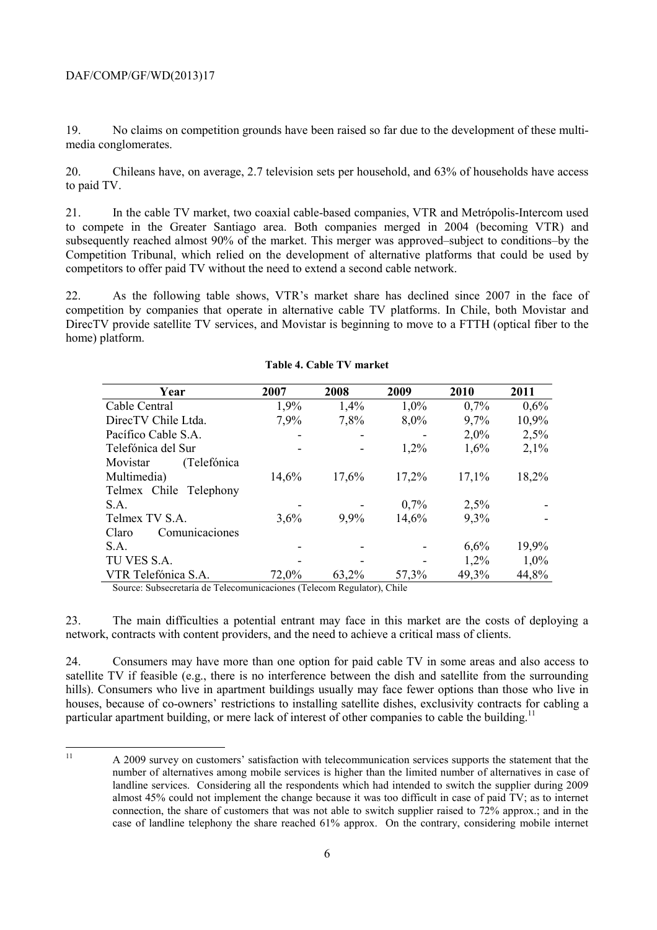19. No claims on competition grounds have been raised so far due to the development of these multimedia conglomerates.

20. Chileans have, on average, 2.7 television sets per household, and 63% of households have access to paid TV.

21. In the cable TV market, two coaxial cable-based companies, VTR and Metrópolis-Intercom used to compete in the Greater Santiago area. Both companies merged in 2004 (becoming VTR) and subsequently reached almost 90% of the market. This merger was approved–subject to conditions–by the Competition Tribunal, which relied on the development of alternative platforms that could be used by competitors to offer paid TV without the need to extend a second cable network.

22. As the following table shows, VTR's market share has declined since 2007 in the face of competition by companies that operate in alternative cable TV platforms. In Chile, both Movistar and DirecTV provide satellite TV services, and Movistar is beginning to move to a FTTH (optical fiber to the home) platform.

| Year                    | 2007  | 2008  | 2009    | 2010    | 2011  |
|-------------------------|-------|-------|---------|---------|-------|
| Cable Central           | 1,9%  | 1,4%  | $1,0\%$ | 0,7%    | 0,6%  |
| DirecTV Chile Ltda.     | 7,9%  | 7,8%  | 8,0%    | 9,7%    | 10,9% |
| Pacífico Cable S.A.     |       |       |         | $2,0\%$ | 2,5%  |
| Telefónica del Sur      |       |       | 1,2%    | 1,6%    | 2,1%  |
| (Telefónica<br>Movistar |       |       |         |         |       |
| Multimedia)             | 14,6% | 17,6% | 17,2%   | 17,1%   | 18,2% |
| Telmex Chile Telephony  |       |       |         |         |       |
| S.A.                    |       |       | 0,7%    | 2,5%    |       |
| Telmex TV S.A.          | 3,6%  | 9,9%  | 14,6%   | 9,3%    |       |
| Claro<br>Comunicaciones |       |       |         |         |       |
| S.A.                    |       |       |         | 6,6%    | 19,9% |
| TU VES S.A.             |       |       |         | 1,2%    | 1,0%  |
| VTR Telefónica S.A.     | 72,0% | 63,2% | 57,3%   | 49,3%   | 44,8% |

#### **Table 4. Cable TV market**

Source: Subsecretaría de Telecomunicaciones (Telecom Regulator), Chile

23. The main difficulties a potential entrant may face in this market are the costs of deploying a network, contracts with content providers, and the need to achieve a critical mass of clients.

24. Consumers may have more than one option for paid cable TV in some areas and also access to satellite TV if feasible (e.g., there is no interference between the dish and satellite from the surrounding hills). Consumers who live in apartment buildings usually may face fewer options than those who live in houses, because of co-owners' restrictions to installing satellite dishes, exclusivity contracts for cabling a particular apartment building, or mere lack of interest of other companies to cable the building.<sup>11</sup>

 $11$ 11 A 2009 survey on customers' satisfaction with telecommunication services supports the statement that the number of alternatives among mobile services is higher than the limited number of alternatives in case of landline services. Considering all the respondents which had intended to switch the supplier during 2009 almost 45% could not implement the change because it was too difficult in case of paid TV; as to internet connection, the share of customers that was not able to switch supplier raised to 72% approx.; and in the case of landline telephony the share reached 61% approx. On the contrary, considering mobile internet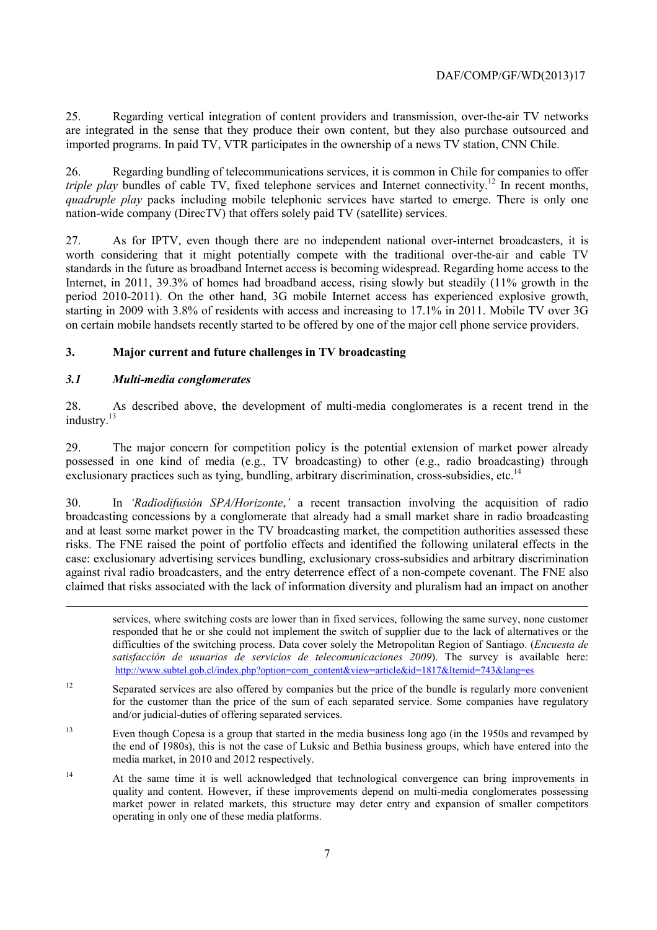25. Regarding vertical integration of content providers and transmission, over-the-air TV networks are integrated in the sense that they produce their own content, but they also purchase outsourced and imported programs. In paid TV, VTR participates in the ownership of a news TV station, CNN Chile.

26. Regarding bundling of telecommunications services, it is common in Chile for companies to offer *triple play* bundles of cable TV, fixed telephone services and Internet connectivity.<sup>12</sup> In recent months, *quadruple play* packs including mobile telephonic services have started to emerge. There is only one nation-wide company (DirecTV) that offers solely paid TV (satellite) services.

27. As for IPTV, even though there are no independent national over-internet broadcasters, it is worth considering that it might potentially compete with the traditional over-the-air and cable TV standards in the future as broadband Internet access is becoming widespread. Regarding home access to the Internet, in 2011, 39.3% of homes had broadband access, rising slowly but steadily (11% growth in the period 2010-2011). On the other hand, 3G mobile Internet access has experienced explosive growth, starting in 2009 with 3.8% of residents with access and increasing to 17.1% in 2011. Mobile TV over 3G on certain mobile handsets recently started to be offered by one of the major cell phone service providers.

# **3. Major current and future challenges in TV broadcasting**

# *3.1 Multi-media conglomerates*

-

28. As described above, the development of multi-media conglomerates is a recent trend in the industry.<sup>13</sup>

29. The major concern for competition policy is the potential extension of market power already possessed in one kind of media (e.g., TV broadcasting) to other (e.g., radio broadcasting) through exclusionary practices such as tying, bundling, arbitrary discrimination, cross-subsidies, etc.<sup>14</sup>

30. In *'Radiodifusión SPA/Horizonte*,*'* a recent transaction involving the acquisition of radio broadcasting concessions by a conglomerate that already had a small market share in radio broadcasting and at least some market power in the TV broadcasting market, the competition authorities assessed these risks. The FNE raised the point of portfolio effects and identified the following unilateral effects in the case: exclusionary advertising services bundling, exclusionary cross-subsidies and arbitrary discrimination against rival radio broadcasters, and the entry deterrence effect of a non-compete covenant. The FNE also claimed that risks associated with the lack of information diversity and pluralism had an impact on another

services, where switching costs are lower than in fixed services, following the same survey, none customer responded that he or she could not implement the switch of supplier due to the lack of alternatives or the difficulties of the switching process. Data cover solely the Metropolitan Region of Santiago. (*Encuesta de satisfacción de usuarios de servicios de telecomunicaciones 2009*). The survey is available here: http://www.subtel.gob.cl/index.php?option=com\_content&view=article&id=1817&Itemid=743&lang=es

<sup>12</sup> Separated services are also offered by companies but the price of the bundle is regularly more convenient for the customer than the price of the sum of each separated service. Some companies have regulatory and/or judicial-duties of offering separated services.

13 Even though Copesa is a group that started in the media business long ago (in the 1950s and revamped by the end of 1980s), this is not the case of Luksic and Bethia business groups, which have entered into the media market, in 2010 and 2012 respectively.

<sup>14</sup> At the same time it is well acknowledged that technological convergence can bring improvements in quality and content. However, if these improvements depend on multi-media conglomerates possessing market power in related markets, this structure may deter entry and expansion of smaller competitors operating in only one of these media platforms.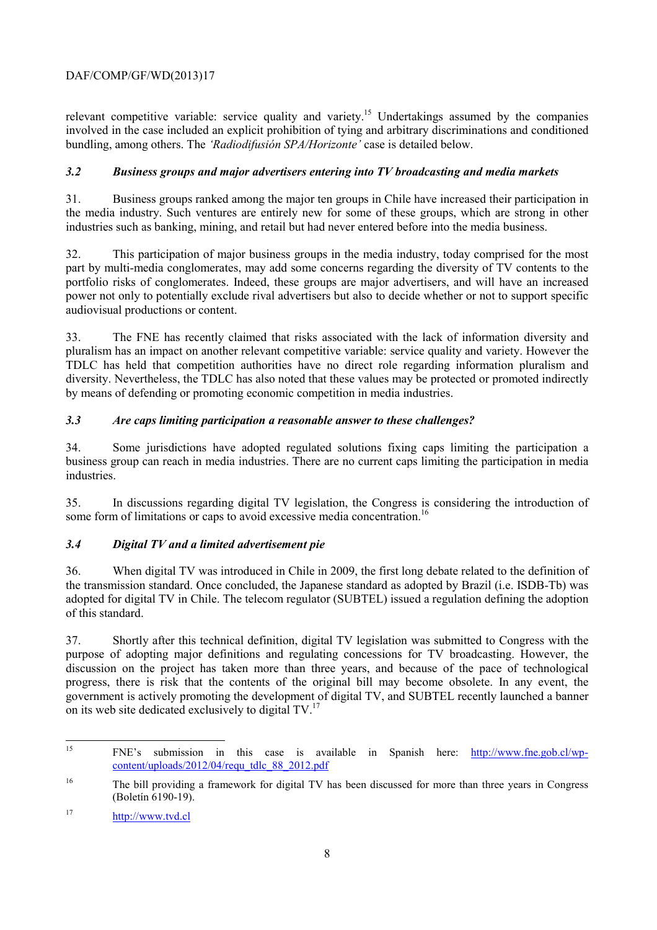relevant competitive variable: service quality and variety.<sup>15</sup> Undertakings assumed by the companies involved in the case included an explicit prohibition of tying and arbitrary discriminations and conditioned bundling, among others. The *'Radiodifusión SPA/Horizonte'* case is detailed below.

# *3.2 Business groups and major advertisers entering into TV broadcasting and media markets*

31. Business groups ranked among the major ten groups in Chile have increased their participation in the media industry. Such ventures are entirely new for some of these groups, which are strong in other industries such as banking, mining, and retail but had never entered before into the media business.

32. This participation of major business groups in the media industry, today comprised for the most part by multi-media conglomerates, may add some concerns regarding the diversity of TV contents to the portfolio risks of conglomerates. Indeed, these groups are major advertisers, and will have an increased power not only to potentially exclude rival advertisers but also to decide whether or not to support specific audiovisual productions or content.

33. The FNE has recently claimed that risks associated with the lack of information diversity and pluralism has an impact on another relevant competitive variable: service quality and variety. However the TDLC has held that competition authorities have no direct role regarding information pluralism and diversity. Nevertheless, the TDLC has also noted that these values may be protected or promoted indirectly by means of defending or promoting economic competition in media industries.

# *3.3 Are caps limiting participation a reasonable answer to these challenges?*

34. Some jurisdictions have adopted regulated solutions fixing caps limiting the participation a business group can reach in media industries. There are no current caps limiting the participation in media industries.

35. In discussions regarding digital TV legislation, the Congress is considering the introduction of some form of limitations or caps to avoid excessive media concentration.<sup>16</sup>

# *3.4 Digital TV and a limited advertisement pie*

36. When digital TV was introduced in Chile in 2009, the first long debate related to the definition of the transmission standard. Once concluded, the Japanese standard as adopted by Brazil (i.e. ISDB-Tb) was adopted for digital TV in Chile. The telecom regulator (SUBTEL) issued a regulation defining the adoption of this standard.

37. Shortly after this technical definition, digital TV legislation was submitted to Congress with the purpose of adopting major definitions and regulating concessions for TV broadcasting. However, the discussion on the project has taken more than three years, and because of the pace of technological progress, there is risk that the contents of the original bill may become obsolete. In any event, the government is actively promoting the development of digital TV, and SUBTEL recently launched a banner on its web site dedicated exclusively to digital TV.<sup>17</sup>

 $15$ 15 FNE's submission in this case is available in Spanish here: http://www.fne.gob.cl/wpcontent/uploads/2012/04/requ\_tdlc\_88\_2012.pdf

<sup>&</sup>lt;sup>16</sup> The bill providing a framework for digital TV has been discussed for more than three years in Congress (Boletín 6190-19).

<sup>17</sup> http://www.tvd.cl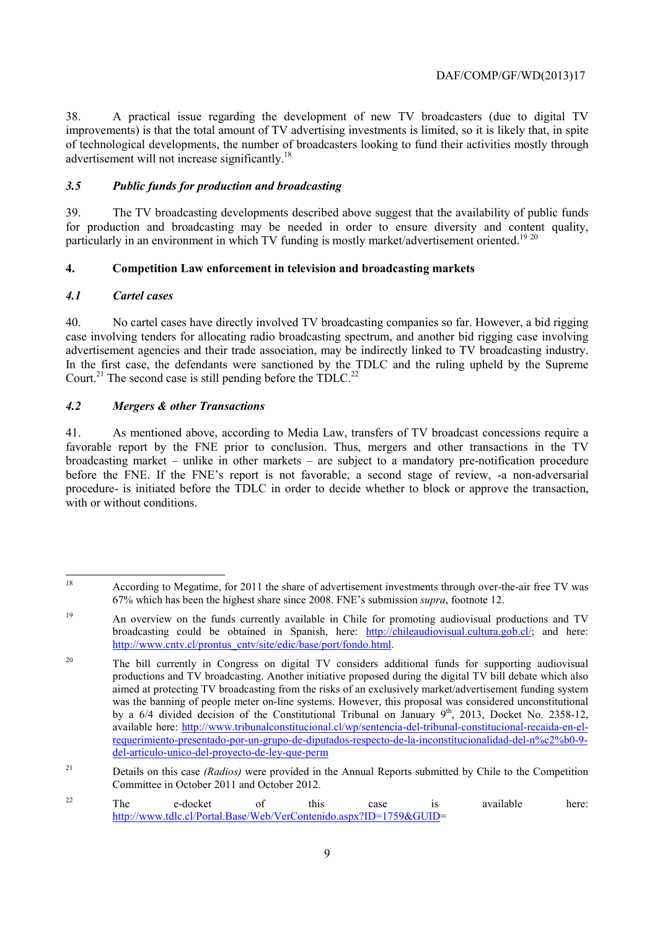38. A practical issue regarding the development of new TV broadcasters (due to digital TV improvements) is that the total amount of TV advertising investments is limited, so it is likely that, in spite of technological developments, the number of broadcasters looking to fund their activities mostly through advertisement will not increase significantly.18

# *3.5 Public funds for production and broadcasting*

39. The TV broadcasting developments described above suggest that the availability of public funds for production and broadcasting may be needed in order to ensure diversity and content quality, particularly in an environment in which TV funding is mostly market/advertisement oriented.<sup>19 20</sup>

# **4. Competition Law enforcement in television and broadcasting markets**

# *4.1 Cartel cases*

40. No cartel cases have directly involved TV broadcasting companies so far. However, a bid rigging case involving tenders for allocating radio broadcasting spectrum, and another bid rigging case involving advertisement agencies and their trade association, may be indirectly linked to TV broadcasting industry. In the first case, the defendants were sanctioned by the TDLC and the ruling upheld by the Supreme Court.<sup>21</sup> The second case is still pending before the TDLC.<sup>22</sup>

# *4.2 Mergers & other Transactions*

41. As mentioned above, according to Media Law, transfers of TV broadcast concessions require a favorable report by the FNE prior to conclusion. Thus, mergers and other transactions in the TV broadcasting market – unlike in other markets – are subject to a mandatory pre-notification procedure before the FNE. If the FNE's report is not favorable, a second stage of review, -a non-adversarial procedure- is initiated before the TDLC in order to decide whether to block or approve the transaction, with or without conditions.

<sup>18</sup> According to Megatime, for 2011 the share of advertisement investments through over-the-air free TV was 67% which has been the highest share since 2008. FNE's submission *supra*, footnote 12.

<sup>&</sup>lt;sup>19</sup> An overview on the funds currently available in Chile for promoting audiovisual productions and TV broadcasting could be obtained in Spanish, here: http://chileaudiovisual.cultura.gob.cl/; and here: http://www.cntv.cl/prontus\_cntv/site/edic/base/port/fondo.html.

<sup>&</sup>lt;sup>20</sup> The bill currently in Congress on digital TV considers additional funds for supporting audiovisual productions and TV broadcasting. Another initiative proposed during the digital TV bill debate which also aimed at protecting TV broadcasting from the risks of an exclusively market/advertisement funding system was the banning of people meter on-line systems. However, this proposal was considered unconstitutional by a 6/4 divided decision of the Constitutional Tribunal on January 9<sup>th</sup>, 2013, Docket No. 2358-12, available here: http://www.tribunalconstitucional.cl/wp/sentencia-del-tribunal-constitucional-recaida-en-elrequerimiento-presentado-por-un-grupo-de-diputados-respecto-de-la-inconstitucionalidad-del-n%c2%b0-9 del-articulo-unico-del-proyecto-de-ley-que-perm

<sup>&</sup>lt;sup>21</sup> Details on this case *(Radios)* were provided in the Annual Reports submitted by Chile to the Competition Committee in October 2011 and October 2012.

 $22$  The e-docket of this case is available here: http://www.tdlc.cl/Portal.Base/Web/VerContenido.aspx?ID=1759&GUID=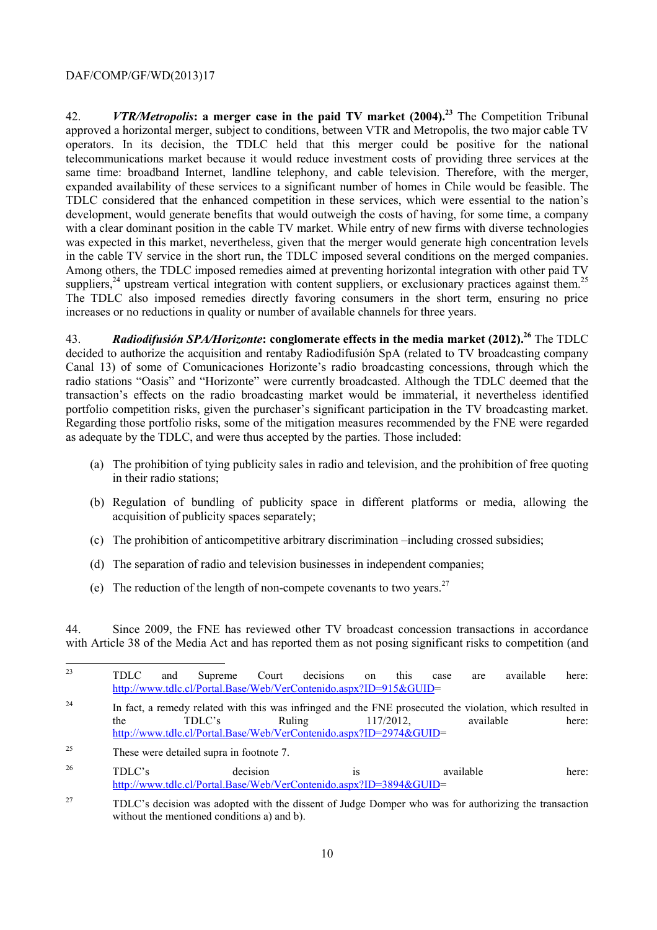42. *VTR/Metropolis***: a merger case in the paid TV market (2004).23** The Competition Tribunal approved a horizontal merger, subject to conditions, between VTR and Metropolis, the two major cable TV operators. In its decision, the TDLC held that this merger could be positive for the national telecommunications market because it would reduce investment costs of providing three services at the same time: broadband Internet, landline telephony, and cable television. Therefore, with the merger, expanded availability of these services to a significant number of homes in Chile would be feasible. The TDLC considered that the enhanced competition in these services, which were essential to the nation's development, would generate benefits that would outweigh the costs of having, for some time, a company with a clear dominant position in the cable TV market. While entry of new firms with diverse technologies was expected in this market, nevertheless, given that the merger would generate high concentration levels in the cable TV service in the short run, the TDLC imposed several conditions on the merged companies. Among others, the TDLC imposed remedies aimed at preventing horizontal integration with other paid TV suppliers,<sup>24</sup> upstream vertical integration with content suppliers, or exclusionary practices against them.<sup>25</sup> The TDLC also imposed remedies directly favoring consumers in the short term, ensuring no price increases or no reductions in quality or number of available channels for three years.

43. **Radiodifusión SPA/Horizonte: conglomerate effects in the media market (2012).<sup>26</sup> The TDLC** decided to authorize the acquisition and rentaby Radiodifusión SpA (related to TV broadcasting company Canal 13) of some of Comunicaciones Horizonte's radio broadcasting concessions, through which the radio stations "Oasis" and "Horizonte" were currently broadcasted. Although the TDLC deemed that the transaction's effects on the radio broadcasting market would be immaterial, it nevertheless identified portfolio competition risks, given the purchaser's significant participation in the TV broadcasting market. Regarding those portfolio risks, some of the mitigation measures recommended by the FNE were regarded as adequate by the TDLC, and were thus accepted by the parties. Those included:

- (a) The prohibition of tying publicity sales in radio and television, and the prohibition of free quoting in their radio stations;
- (b) Regulation of bundling of publicity space in different platforms or media, allowing the acquisition of publicity spaces separately;
- (c) The prohibition of anticompetitive arbitrary discrimination –including crossed subsidies;
- (d) The separation of radio and television businesses in independent companies;
- (e) The reduction of the length of non-compete covenants to two years.<sup>27</sup>

44. Since 2009, the FNE has reviewed other TV broadcast concession transactions in accordance with Article 38 of the Media Act and has reported them as not posing significant risks to competition (and

| 23 | TDLC |  | and Supreme Court decisions on this case                          |  | are | available | here: |
|----|------|--|-------------------------------------------------------------------|--|-----|-----------|-------|
|    |      |  | http://www.tdlc.cl/Portal.Base/Web/VerContenido.aspx?ID=915&GUID= |  |     |           |       |

<sup>&</sup>lt;sup>24</sup> In fact, a remedy related with this was infringed and the FNE prosecuted the violation, which resulted in the TDLC's Ruling 117/2012, the TDLC's Ruling 117/2012, available here: http://www.tdlc.cl/Portal.Base/Web/VerContenido.aspx?ID=2974&GUID=

<sup>25</sup> These were detailed supra in footnote 7.

 $26$  TDLC's decision is available here: http://www.tdlc.cl/Portal.Base/Web/VerContenido.aspx?ID=3894&GUID=

<sup>&</sup>lt;sup>27</sup> TDLC's decision was adopted with the dissent of Judge Domper who was for authorizing the transaction without the mentioned conditions a) and b).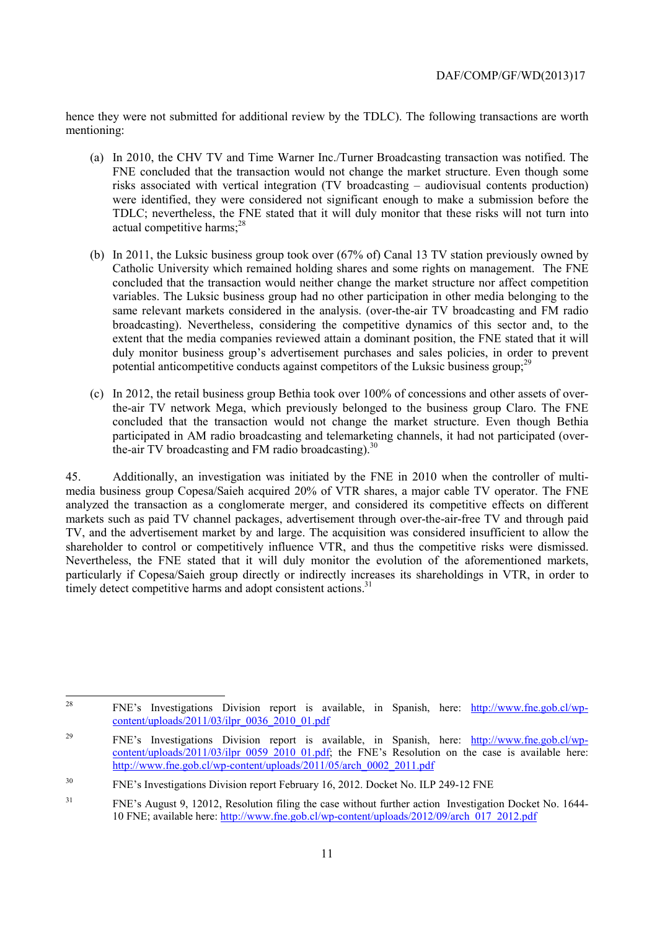hence they were not submitted for additional review by the TDLC). The following transactions are worth mentioning:

- (a) In 2010, the CHV TV and Time Warner Inc./Turner Broadcasting transaction was notified. The FNE concluded that the transaction would not change the market structure. Even though some risks associated with vertical integration (TV broadcasting – audiovisual contents production) were identified, they were considered not significant enough to make a submission before the TDLC; nevertheless, the FNE stated that it will duly monitor that these risks will not turn into actual competitive harms; $28$
- (b) In 2011, the Luksic business group took over (67% of) Canal 13 TV station previously owned by Catholic University which remained holding shares and some rights on management. The FNE concluded that the transaction would neither change the market structure nor affect competition variables. The Luksic business group had no other participation in other media belonging to the same relevant markets considered in the analysis. (over-the-air TV broadcasting and FM radio broadcasting). Nevertheless, considering the competitive dynamics of this sector and, to the extent that the media companies reviewed attain a dominant position, the FNE stated that it will duly monitor business group's advertisement purchases and sales policies, in order to prevent potential anticompetitive conducts against competitors of the Luksic business group; $^{29}$
- (c) In 2012, the retail business group Bethia took over 100% of concessions and other assets of overthe-air TV network Mega, which previously belonged to the business group Claro. The FNE concluded that the transaction would not change the market structure. Even though Bethia participated in AM radio broadcasting and telemarketing channels, it had not participated (overthe-air TV broadcasting and FM radio broadcasting).<sup>30</sup>

45. Additionally, an investigation was initiated by the FNE in 2010 when the controller of multimedia business group Copesa/Saieh acquired 20% of VTR shares, a major cable TV operator. The FNE analyzed the transaction as a conglomerate merger, and considered its competitive effects on different markets such as paid TV channel packages, advertisement through over-the-air-free TV and through paid TV, and the advertisement market by and large. The acquisition was considered insufficient to allow the shareholder to control or competitively influence VTR, and thus the competitive risks were dismissed. Nevertheless, the FNE stated that it will duly monitor the evolution of the aforementioned markets, particularly if Copesa/Saieh group directly or indirectly increases its shareholdings in VTR, in order to timely detect competitive harms and adopt consistent actions.<sup>31</sup>

<sup>28</sup> 28 FNE's Investigations Division report is available, in Spanish, here: http://www.fne.gob.cl/wp $content/unloads/2011/03/ilpr$  0036 2010 01.pdf

<sup>&</sup>lt;sup>29</sup> FNE's Investigations Division report is available, in Spanish, here:  $\frac{http://www.fne.gov(cl/wp-1)}{http://www.fne.gov(cl/wp-1)}$ content/uploads/2011/03/ilpr\_0059\_2010\_01.pdf; the FNE's Resolution on the case is available here: http://www.fne.gob.cl/wp-content/uploads/2011/05/arch\_0002\_2011.pdf

<sup>30</sup> FNE's Investigations Division report February 16, 2012. Docket No. ILP 249-12 FNE

<sup>&</sup>lt;sup>31</sup> FNE's August 9, 12012, Resolution filing the case without further action Investigation Docket No. 1644-10 FNE; available here: http://www.fne.gob.cl/wp-content/uploads/2012/09/arch\_017\_2012.pdf